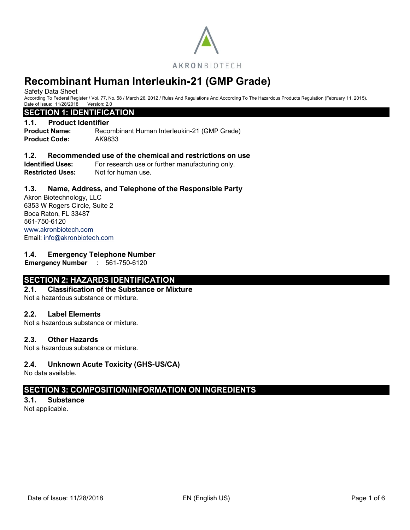

Safety Data Sheet

According To Federal Register / Vol. 77, No. 58 / March 26, 2012 / Rules And Regulations And According To The Hazardous Products Regulation (February 11, 2015). Date of Issue: 11/28/2018 Version: 2.0

# **SECTION 1: IDENTIFICATION**

# **1.1. Product Identifier**

**Product Name:** Recombinant Human Interleukin-21 (GMP Grade) **Product Code:** AK9833

# **1.2. Recommended use of the chemical and restrictions on use**

**Identified Uses:** For research use or further manufacturing only. **Restricted Uses:** Not for human use.

# **1.3. Name, Address, and Telephone of the Responsible Party**

Akron Biotechnology, LLC 6353 W Rogers Circle, Suite 2 Boca Raton, FL 33487 561-750-6120 [www.akronbiotech.com](http://www.akronbiotech.com/%3c/a) Email: [info@akronbiotech.com](mailto:info@akronbiotech.com)

# **1.4. Emergency Telephone Number**

**Emergency Number** : 561-750-6120

# **SECTION 2: HAZARDS IDENTIFICATION**

# **2.1. Classification of the Substance or Mixture**

Not a hazardous substance or mixture.

# **2.2. Label Elements**

Not a hazardous substance or mixture.

# **2.3. Other Hazards**

Not a hazardous substance or mixture.

# **2.4. Unknown Acute Toxicity (GHS-US/CA)**

No data available.

# **SECTION 3: COMPOSITION/INFORMATION ON INGREDIENTS**

# **3.1. Substance**

Not applicable.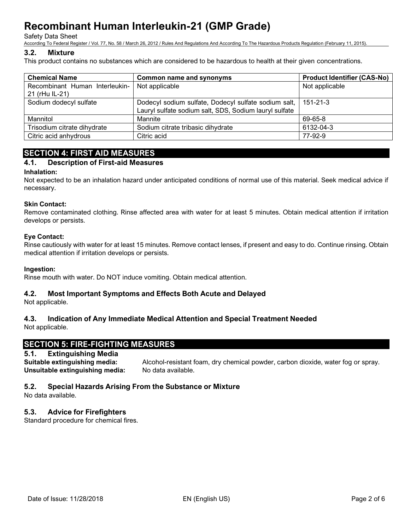Safety Data Sheet

According To Federal Register / Vol. 77, No. 58 / March 26, 2012 / Rules And Regulations And According To The Hazardous Products Regulation (February 11, 2015).

# **3.2. Mixture**

This product contains no substances which are considered to be hazardous to health at their given concentrations.

| <b>Chemical Name</b>                             | <b>Common name and synonyms</b>                                                                                | <b>Product Identifier (CAS-No)</b> |  |
|--------------------------------------------------|----------------------------------------------------------------------------------------------------------------|------------------------------------|--|
| Recombinant Human Interleukin-<br>21 (rHu IL-21) | Not applicable                                                                                                 | Not applicable                     |  |
| Sodium dodecyl sulfate                           | Dodecyl sodium sulfate, Dodecyl sulfate sodium salt,<br>Lauryl sulfate sodium salt, SDS, Sodium lauryl sulfate | 151-21-3                           |  |
| Mannitol                                         | Mannite                                                                                                        | 69-65-8                            |  |
| Trisodium citrate dihydrate                      | Sodium citrate tribasic dihydrate                                                                              | 6132-04-3                          |  |
| Citric acid anhydrous                            | Citric acid                                                                                                    | 77-92-9                            |  |

# **SECTION 4: FIRST AID MEASURES**

# **4.1. Description of First-aid Measures**

# **Inhalation:**

Not expected to be an inhalation hazard under anticipated conditions of normal use of this material. Seek medical advice if necessary.

# **Skin Contact:**

Remove contaminated clothing. Rinse affected area with water for at least 5 minutes. Obtain medical attention if irritation develops or persists.

# **Eye Contact:**

Rinse cautiously with water for at least 15 minutes. Remove contact lenses, if present and easy to do. Continue rinsing. Obtain medical attention if irritation develops or persists.

# **Ingestion:**

Rinse mouth with water. Do NOT induce vomiting. Obtain medical attention.

# **4.2. Most Important Symptoms and Effects Both Acute and Delayed**

Not applicable.

# **4.3. Indication of Any Immediate Medical Attention and Special Treatment Needed**

Not applicable.

# **SECTION 5: FIRE-FIGHTING MEASURES**

# **5.1. Extinguishing Media**

**Unsuitable extinguishing media:** No data available.

**Suitable extinguishing media:** Alcohol-resistant foam, dry chemical powder, carbon dioxide, water fog or spray.

# **5.2. Special Hazards Arising From the Substance or Mixture**

No data available.

# **5.3. Advice for Firefighters**

Standard procedure for chemical fires.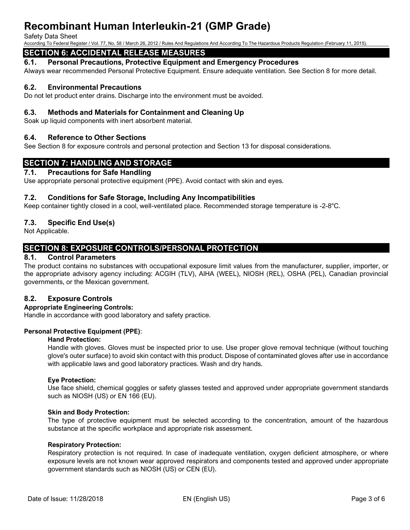#### Safety Data Sheet

According To Federal Register / Vol. 77, No. 58 / March 26, 2012 / Rules And Regulations And According To The Hazardous Products Regulation (February 11, 2015).

# **SECTION 6: ACCIDENTAL RELEASE MEASURES**

# **6.1. Personal Precautions, Protective Equipment and Emergency Procedures**

Always wear recommended Personal Protective Equipment. Ensure adequate ventilation. See Section 8 for more detail.

# **6.2. Environmental Precautions**

Do not let product enter drains. Discharge into the environment must be avoided.

# **6.3. Methods and Materials for Containment and Cleaning Up**

Soak up liquid components with inert absorbent material.

# **6.4. Reference to Other Sections**

See Section 8 for exposure controls and personal protection and Section 13 for disposal considerations.

# **SECTION 7: HANDLING AND STORAGE**

# **7.1. Precautions for Safe Handling**

Use appropriate personal protective equipment (PPE). Avoid contact with skin and eyes.

# **7.2. Conditions for Safe Storage, Including Any Incompatibilities**

Keep container tightly closed in a cool, well-ventilated place. Recommended storage temperature is -2-8°C.

# **7.3. Specific End Use(s)**

Not Applicable.

# **SECTION 8: EXPOSURE CONTROLS/PERSONAL PROTECTION**

# **8.1. Control Parameters**

The product contains no substances with occupational exposure limit values from the manufacturer, supplier, importer, or the appropriate advisory agency including: ACGIH (TLV), AIHA (WEEL), NIOSH (REL), OSHA (PEL), Canadian provincial governments, or the Mexican government.

# **8.2. Exposure Controls**

# **Appropriate Engineering Controls:**

Handle in accordance with good laboratory and safety practice.

# **Personal Protective Equipment (PPE)**:

#### **Hand Protection:**

Handle with gloves. Gloves must be inspected prior to use. Use proper glove removal technique (without touching glove's outer surface) to avoid skin contact with this product. Dispose of contaminated gloves after use in accordance with applicable laws and good laboratory practices. Wash and dry hands.

#### **Eye Protection:**

Use face shield, chemical goggles or safety glasses tested and approved under appropriate government standards such as NIOSH (US) or EN 166 (EU).

#### **Skin and Body Protection:**

The type of protective equipment must be selected according to the concentration, amount of the hazardous substance at the specific workplace and appropriate risk assessment.

#### **Respiratory Protection:**

Respiratory protection is not required. In case of inadequate ventilation, oxygen deficient atmosphere, or where exposure levels are not known wear approved respirators and components tested and approved under appropriate government standards such as NIOSH (US) or CEN (EU).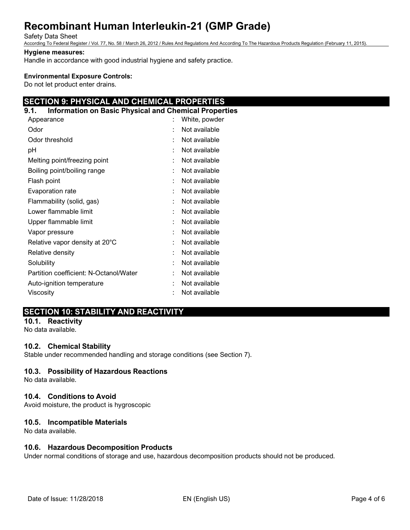#### Safety Data Sheet

According To Federal Register / Vol. 77, No. 58 / March 26, 2012 / Rules And Regulations And According To The Hazardous Products Regulation (February 11, 2015).

#### **Hygiene measures:**

Handle in accordance with good industrial hygiene and safety practice.

#### **Environmental Exposure Controls:**

Do not let product enter drains.

# **SECTION 9: PHYSICAL AND CHEMICAL PROPERTIES**

# **9.1. Information on Basic Physical and Chemical Properties**

| Appearance                             |   | White, powder |
|----------------------------------------|---|---------------|
| Odor                                   |   | Not available |
| Odor threshold                         |   | Not available |
| рH                                     | t | Not available |
| Melting point/freezing point           |   | Not available |
| Boiling point/boiling range            | ٠ | Not available |
| Flash point                            | t | Not available |
| Evaporation rate                       | ÷ | Not available |
| Flammability (solid, gas)              | t | Not available |
| Lower flammable limit                  | t | Not available |
| Upper flammable limit                  | ÷ | Not available |
| Vapor pressure                         |   | Not available |
| Relative vapor density at 20°C         |   | Not available |
| Relative density                       |   | Not available |
| Solubility                             | ٠ | Not available |
| Partition coefficient: N-Octanol/Water |   | Not available |
| Auto-ignition temperature              |   | Not available |
| Viscosity                              |   | Not available |

# **SECTION 10: STABILITY AND REACTIVITY**

# **10.1. Reactivity**

No data available.

# **10.2. Chemical Stability**

Stable under recommended handling and storage conditions (see Section 7).

# **10.3. Possibility of Hazardous Reactions**

No data available.

# **10.4. Conditions to Avoid**

Avoid moisture, the product is hygroscopic

# **10.5. Incompatible Materials**

No data available.

# **10.6. Hazardous Decomposition Products**

Under normal conditions of storage and use, hazardous decomposition products should not be produced.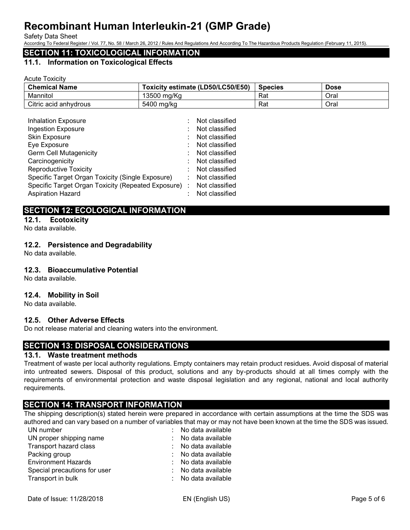Safety Data Sheet

According To Federal Register / Vol. 77, No. 58 / March 26, 2012 / Rules And Regulations And According To The Hazardous Products Regulation (February 11, 2015).

# **SECTION 11: TOXICOLOGICAL INFORMATION**

## **11.1. Information on Toxicological Effects**

Acute Toxicity

| <b>Chemical Name</b>  | Toxicity estimate (LD50/LC50/E50) | <b>Species</b> | <b>Dose</b> |
|-----------------------|-----------------------------------|----------------|-------------|
| Mannitol              | 13500 mg/Kg                       | Rat            | Oral        |
| Citric acid anhydrous | 5400 mg/kg                        | Rat            | Oral        |

| <b>Inhalation Exposure</b>                           | Not classified |
|------------------------------------------------------|----------------|
| <b>Ingestion Exposure</b>                            | Not classified |
| Skin Exposure                                        | Not classified |
| Eye Exposure                                         | Not classified |
| <b>Germ Cell Mutagenicity</b>                        | Not classified |
| Carcinogenicity                                      | Not classified |
| <b>Reproductive Toxicity</b>                         | Not classified |
| Specific Target Organ Toxicity (Single Exposure)     | Not classified |
| Specific Target Organ Toxicity (Repeated Exposure) : | Not classified |
| <b>Aspiration Hazard</b>                             | Not classified |

# **SECTION 12: ECOLOGICAL INFORMATION**

**12.1. Ecotoxicity**  No data available.

# **12.2. Persistence and Degradability**

No data available.

# **12.3. Bioaccumulative Potential**

No data available.

# **12.4. Mobility in Soil**

No data available.

# **12.5. Other Adverse Effects**

Do not release material and cleaning waters into the environment.

# **SECTION 13: DISPOSAL CONSIDERATIONS**

# **13.1. Waste treatment methods**

Treatment of waste per local authority regulations. Empty containers may retain product residues. Avoid disposal of material into untreated sewers. Disposal of this product, solutions and any by-products should at all times comply with the requirements of environmental protection and waste disposal legislation and any regional, national and local authority requirements.

# **SECTION 14: TRANSPORT INFORMATION**

The shipping description(s) stated herein were prepared in accordance with certain assumptions at the time the SDS was authored and can vary based on a number of variables that may or may not have been known at the time the SDS was issued.

| UN number                    | : No data available |
|------------------------------|---------------------|
| UN proper shipping name      | : No data available |
| Transport hazard class       | : No data available |
| Packing group                | : No data available |
| <b>Environment Hazards</b>   | : No data available |
| Special precautions for user | : No data available |
| Transport in bulk            | : No data available |
|                              |                     |